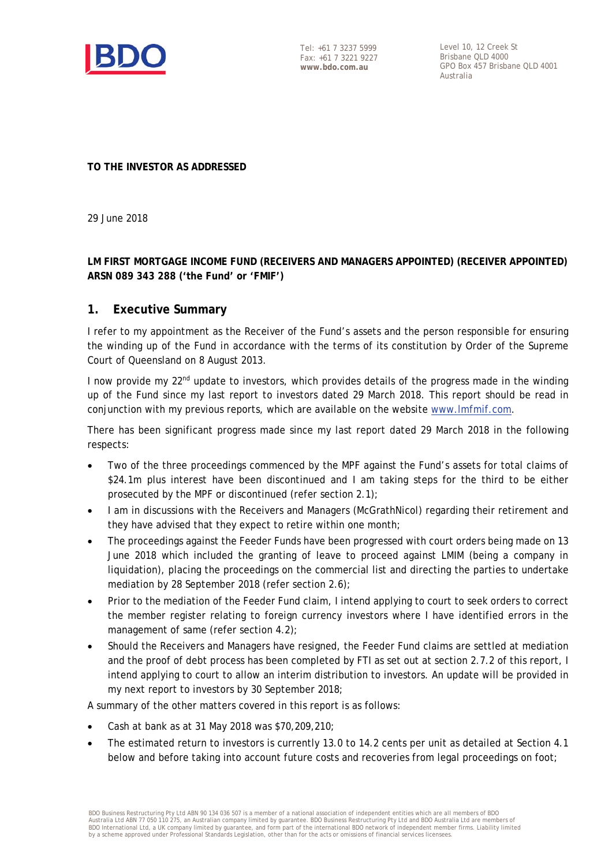

Level 10, 12 Creek St Brishane OLD 4000 GPO Box 457 Brisbane QLD 4001 Australia

**TO THE INVESTOR AS ADDRESSED** 

29 June 2018

**LM FIRST MORTGAGE INCOME FUND (RECEIVERS AND MANAGERS APPOINTED) (RECEIVER APPOINTED) ARSN 089 343 288 ('the Fund' or 'FMIF')** 

#### **1. Executive Summary**

I refer to my appointment as the Receiver of the Fund's assets and the person responsible for ensuring the winding up of the Fund in accordance with the terms of its constitution by Order of the Supreme Court of Queensland on 8 August 2013.

I now provide my 22<sup>nd</sup> update to investors, which provides details of the progress made in the winding up of the Fund since my last report to investors dated 29 March 2018. This report should be read in conjunction with my previous reports, which are available on the website www.lmfmif.com.

There has been significant progress made since my last report dated 29 March 2018 in the following respects:

- Two of the three proceedings commenced by the MPF against the Fund's assets for total claims of \$24.1m plus interest have been discontinued and I am taking steps for the third to be either prosecuted by the MPF or discontinued (refer section 2.1);
- I am in discussions with the Receivers and Managers (McGrathNicol) regarding their retirement and they have advised that they expect to retire within one month;
- The proceedings against the Feeder Funds have been progressed with court orders being made on 13 June 2018 which included the granting of leave to proceed against LMIM (being a company in liquidation), placing the proceedings on the commercial list and directing the parties to undertake mediation by 28 September 2018 (refer section 2.6);
- Prior to the mediation of the Feeder Fund claim, I intend applying to court to seek orders to correct the member register relating to foreign currency investors where I have identified errors in the management of same (refer section 4.2);
- Should the Receivers and Managers have resigned, the Feeder Fund claims are settled at mediation and the proof of debt process has been completed by FTI as set out at section 2.7.2 of this report, I intend applying to court to allow an interim distribution to investors. An update will be provided in my next report to investors by 30 September 2018;

A summary of the other matters covered in this report is as follows:

- Cash at bank as at 31 May 2018 was \$70,209,210;
- The estimated return to investors is currently 13.0 to 14.2 cents per unit as detailed at Section 4.1 below and before taking into account future costs and recoveries from legal proceedings on foot;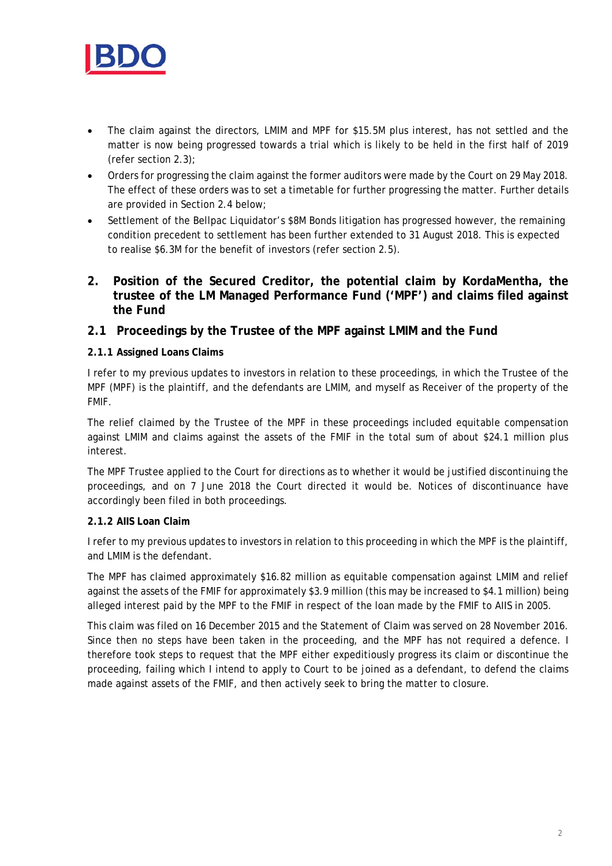

- The claim against the directors, LMIM and MPF for \$15.5M plus interest, has not settled and the matter is now being progressed towards a trial which is likely to be held in the first half of 2019 (refer section 2.3);
- Orders for progressing the claim against the former auditors were made by the Court on 29 May 2018. The effect of these orders was to set a timetable for further progressing the matter. Further details are provided in Section 2.4 below;
- Settlement of the Bellpac Liquidator's \$8M Bonds litigation has progressed however, the remaining condition precedent to settlement has been further extended to 31 August 2018. This is expected to realise \$6.3M for the benefit of investors (refer section 2.5).
- **2. Position of the Secured Creditor, the potential claim by KordaMentha, the trustee of the LM Managed Performance Fund ('MPF') and claims filed against the Fund**

#### **2.1 Proceedings by the Trustee of the MPF against LMIM and the Fund**

#### **2.1.1 Assigned Loans Claims**

I refer to my previous updates to investors in relation to these proceedings, in which the Trustee of the MPF (MPF) is the plaintiff, and the defendants are LMIM, and myself as Receiver of the property of the FMIF.

The relief claimed by the Trustee of the MPF in these proceedings included equitable compensation against LMIM and claims against the assets of the FMIF in the total sum of about \$24.1 million plus interest.

The MPF Trustee applied to the Court for directions as to whether it would be justified discontinuing the proceedings, and on 7 June 2018 the Court directed it would be. Notices of discontinuance have accordingly been filed in both proceedings.

#### **2.1.2 AIIS Loan Claim**

I refer to my previous updates to investors in relation to this proceeding in which the MPF is the plaintiff, and LMIM is the defendant.

The MPF has claimed approximately \$16.82 million as equitable compensation against LMIM and relief against the assets of the FMIF for approximately \$3.9 million (this may be increased to \$4.1 million) being alleged interest paid by the MPF to the FMIF in respect of the loan made by the FMIF to AIIS in 2005.

This claim was filed on 16 December 2015 and the Statement of Claim was served on 28 November 2016. Since then no steps have been taken in the proceeding, and the MPF has not required a defence. I therefore took steps to request that the MPF either expeditiously progress its claim or discontinue the proceeding, failing which I intend to apply to Court to be joined as a defendant, to defend the claims made against assets of the FMIF, and then actively seek to bring the matter to closure.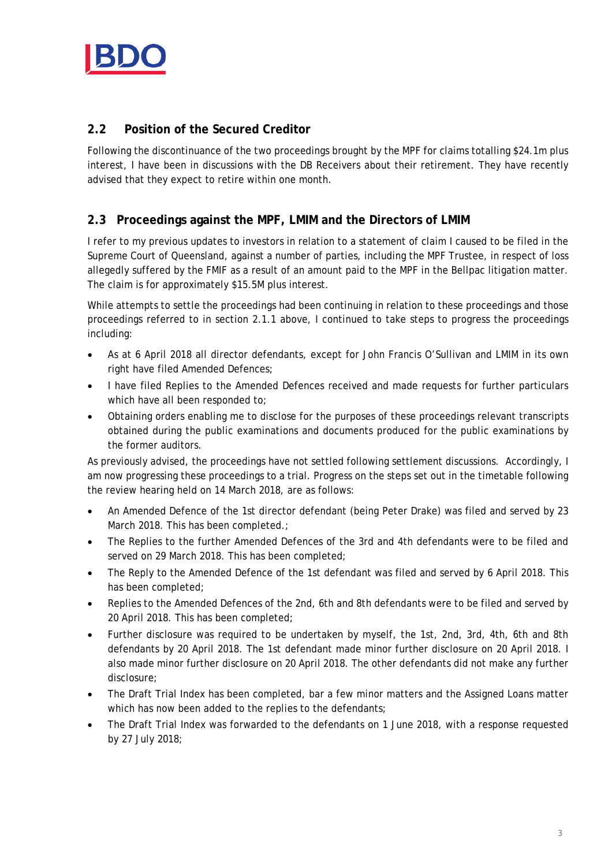

## **2.2 Position of the Secured Creditor**

Following the discontinuance of the two proceedings brought by the MPF for claims totalling \$24.1m plus interest, I have been in discussions with the DB Receivers about their retirement. They have recently advised that they expect to retire within one month.

## **2.3 Proceedings against the MPF, LMIM and the Directors of LMIM**

I refer to my previous updates to investors in relation to a statement of claim I caused to be filed in the Supreme Court of Queensland, against a number of parties, including the MPF Trustee, in respect of loss allegedly suffered by the FMIF as a result of an amount paid to the MPF in the Bellpac litigation matter. The claim is for approximately \$15.5M plus interest.

While attempts to settle the proceedings had been continuing in relation to these proceedings and those proceedings referred to in section 2.1.1 above, I continued to take steps to progress the proceedings including:

- As at 6 April 2018 all director defendants, except for John Francis O'Sullivan and LMIM in its own right have filed Amended Defences;
- I have filed Replies to the Amended Defences received and made requests for further particulars which have all been responded to;
- Obtaining orders enabling me to disclose for the purposes of these proceedings relevant transcripts obtained during the public examinations and documents produced for the public examinations by the former auditors.

As previously advised, the proceedings have not settled following settlement discussions. Accordingly, I am now progressing these proceedings to a trial. Progress on the steps set out in the timetable following the review hearing held on 14 March 2018, are as follows:

- An Amended Defence of the 1st director defendant (being Peter Drake) was filed and served by 23 March 2018. This has been completed.;
- The Replies to the further Amended Defences of the 3rd and 4th defendants were to be filed and served on 29 March 2018. This has been completed;
- The Reply to the Amended Defence of the 1st defendant was filed and served by 6 April 2018. This has been completed;
- Replies to the Amended Defences of the 2nd, 6th and 8th defendants were to be filed and served by 20 April 2018. This has been completed;
- Further disclosure was required to be undertaken by myself, the 1st, 2nd, 3rd, 4th, 6th and 8th defendants by 20 April 2018. The 1st defendant made minor further disclosure on 20 April 2018. I also made minor further disclosure on 20 April 2018. The other defendants did not make any further disclosure;
- The Draft Trial Index has been completed, bar a few minor matters and the Assigned Loans matter which has now been added to the replies to the defendants;
- The Draft Trial Index was forwarded to the defendants on 1 June 2018, with a response requested by 27 July 2018;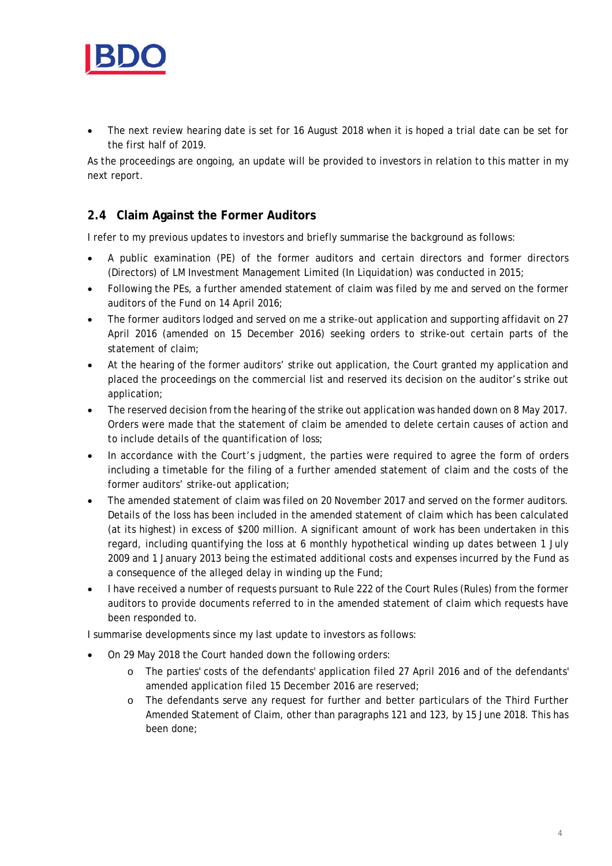

 The next review hearing date is set for 16 August 2018 when it is hoped a trial date can be set for the first half of 2019.

As the proceedings are ongoing, an update will be provided to investors in relation to this matter in my next report.

## **2.4 Claim Against the Former Auditors**

I refer to my previous updates to investors and briefly summarise the background as follows:

- A public examination (PE) of the former auditors and certain directors and former directors (Directors) of LM Investment Management Limited (In Liquidation) was conducted in 2015;
- Following the PEs, a further amended statement of claim was filed by me and served on the former auditors of the Fund on 14 April 2016;
- The former auditors lodged and served on me a strike-out application and supporting affidavit on 27 April 2016 (amended on 15 December 2016) seeking orders to strike-out certain parts of the statement of claim;
- At the hearing of the former auditors' strike out application, the Court granted my application and placed the proceedings on the commercial list and reserved its decision on the auditor's strike out application;
- The reserved decision from the hearing of the strike out application was handed down on 8 May 2017. Orders were made that the statement of claim be amended to delete certain causes of action and to include details of the quantification of loss;
- In accordance with the Court's judgment, the parties were required to agree the form of orders including a timetable for the filing of a further amended statement of claim and the costs of the former auditors' strike-out application;
- The amended statement of claim was filed on 20 November 2017 and served on the former auditors. Details of the loss has been included in the amended statement of claim which has been calculated (at its highest) in excess of \$200 million. A significant amount of work has been undertaken in this regard, including quantifying the loss at 6 monthly hypothetical winding up dates between 1 July 2009 and 1 January 2013 being the estimated additional costs and expenses incurred by the Fund as a consequence of the alleged delay in winding up the Fund;
- I have received a number of requests pursuant to Rule 222 of the Court Rules (Rules) from the former auditors to provide documents referred to in the amended statement of claim which requests have been responded to.

I summarise developments since my last update to investors as follows:

- On 29 May 2018 the Court handed down the following orders:
	- o The parties' costs of the defendants' application filed 27 April 2016 and of the defendants' amended application filed 15 December 2016 are reserved;
	- o The defendants serve any request for further and better particulars of the Third Further Amended Statement of Claim, other than paragraphs 121 and 123, by 15 June 2018. This has been done;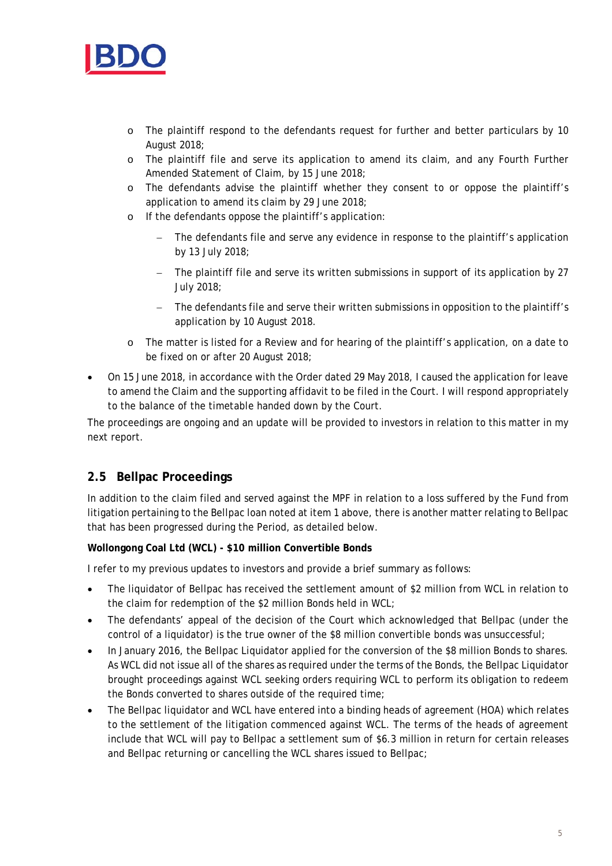

- o The plaintiff respond to the defendants request for further and better particulars by 10 August 2018;
- o The plaintiff file and serve its application to amend its claim, and any Fourth Further Amended Statement of Claim, by 15 June 2018;
- o The defendants advise the plaintiff whether they consent to or oppose the plaintiff's application to amend its claim by 29 June 2018;
- o If the defendants oppose the plaintiff's application:
	- The defendants file and serve any evidence in response to the plaintiff's application by 13 July 2018;
	- The plaintiff file and serve its written submissions in support of its application by 27 July 2018;
	- The defendants file and serve their written submissions in opposition to the plaintiff's application by 10 August 2018.
- o The matter is listed for a Review and for hearing of the plaintiff's application, on a date to be fixed on or after 20 August 2018;
- On 15 June 2018, in accordance with the Order dated 29 May 2018, I caused the application for leave to amend the Claim and the supporting affidavit to be filed in the Court. I will respond appropriately to the balance of the timetable handed down by the Court.

The proceedings are ongoing and an update will be provided to investors in relation to this matter in my next report.

# **2.5 Bellpac Proceedings**

In addition to the claim filed and served against the MPF in relation to a loss suffered by the Fund from litigation pertaining to the Bellpac loan noted at item 1 above, there is another matter relating to Bellpac that has been progressed during the Period, as detailed below.

#### **Wollongong Coal Ltd (WCL) - \$10 million Convertible Bonds**

I refer to my previous updates to investors and provide a brief summary as follows:

- The liquidator of Bellpac has received the settlement amount of \$2 million from WCL in relation to the claim for redemption of the \$2 million Bonds held in WCL;
- The defendants' appeal of the decision of the Court which acknowledged that Bellpac (under the control of a liquidator) is the true owner of the \$8 million convertible bonds was unsuccessful;
- In January 2016, the Bellpac Liquidator applied for the conversion of the \$8 million Bonds to shares. As WCL did not issue all of the shares as required under the terms of the Bonds, the Bellpac Liquidator brought proceedings against WCL seeking orders requiring WCL to perform its obligation to redeem the Bonds converted to shares outside of the required time;
- The Bellpac liquidator and WCL have entered into a binding heads of agreement (HOA) which relates to the settlement of the litigation commenced against WCL. The terms of the heads of agreement include that WCL will pay to Bellpac a settlement sum of \$6.3 million in return for certain releases and Bellpac returning or cancelling the WCL shares issued to Bellpac;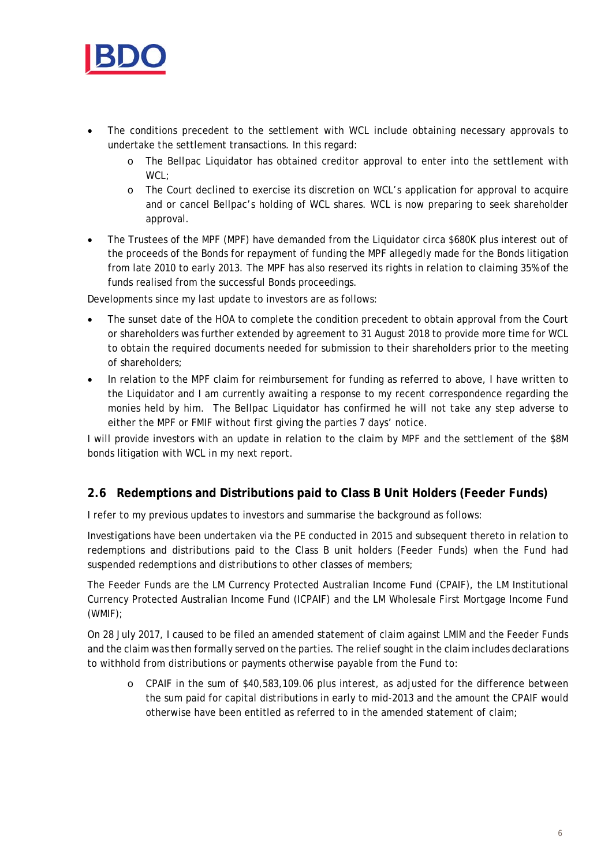

- The conditions precedent to the settlement with WCL include obtaining necessary approvals to undertake the settlement transactions. In this regard:
	- o The Bellpac Liquidator has obtained creditor approval to enter into the settlement with WCL:
	- o The Court declined to exercise its discretion on WCL's application for approval to acquire and or cancel Bellpac's holding of WCL shares. WCL is now preparing to seek shareholder approval.
- The Trustees of the MPF (MPF) have demanded from the Liquidator circa \$680K plus interest out of the proceeds of the Bonds for repayment of funding the MPF allegedly made for the Bonds litigation from late 2010 to early 2013. The MPF has also reserved its rights in relation to claiming 35% of the funds realised from the successful Bonds proceedings.

Developments since my last update to investors are as follows:

- The sunset date of the HOA to complete the condition precedent to obtain approval from the Court or shareholders was further extended by agreement to 31 August 2018 to provide more time for WCL to obtain the required documents needed for submission to their shareholders prior to the meeting of shareholders;
- In relation to the MPF claim for reimbursement for funding as referred to above, I have written to the Liquidator and I am currently awaiting a response to my recent correspondence regarding the monies held by him. The Bellpac Liquidator has confirmed he will not take any step adverse to either the MPF or FMIF without first giving the parties 7 days' notice.

I will provide investors with an update in relation to the claim by MPF and the settlement of the \$8M bonds litigation with WCL in my next report.

# **2.6 Redemptions and Distributions paid to Class B Unit Holders (Feeder Funds)**

I refer to my previous updates to investors and summarise the background as follows:

Investigations have been undertaken via the PE conducted in 2015 and subsequent thereto in relation to redemptions and distributions paid to the Class B unit holders (Feeder Funds) when the Fund had suspended redemptions and distributions to other classes of members;

The Feeder Funds are the LM Currency Protected Australian Income Fund (CPAIF), the LM Institutional Currency Protected Australian Income Fund (ICPAIF) and the LM Wholesale First Mortgage Income Fund (WMIF);

On 28 July 2017, I caused to be filed an amended statement of claim against LMIM and the Feeder Funds and the claim was then formally served on the parties. The relief sought in the claim includes declarations to withhold from distributions or payments otherwise payable from the Fund to:

o CPAIF in the sum of \$40,583,109.06 plus interest, as adjusted for the difference between the sum paid for capital distributions in early to mid-2013 and the amount the CPAIF would otherwise have been entitled as referred to in the amended statement of claim;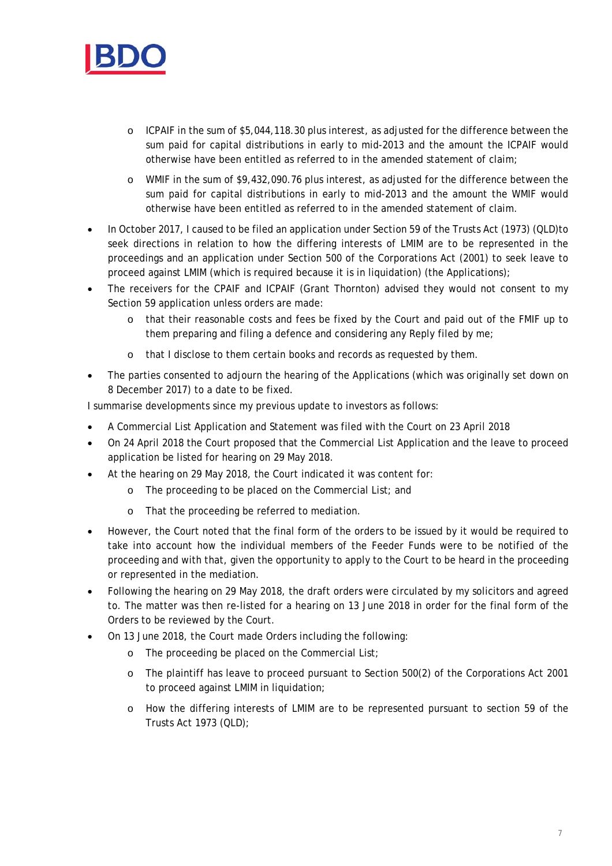

- o ICPAIF in the sum of \$5,044,118.30 plus interest, as adjusted for the difference between the sum paid for capital distributions in early to mid-2013 and the amount the ICPAIF would otherwise have been entitled as referred to in the amended statement of claim;
- o WMIF in the sum of \$9,432,090.76 plus interest, as adjusted for the difference between the sum paid for capital distributions in early to mid-2013 and the amount the WMIF would otherwise have been entitled as referred to in the amended statement of claim.
- In October 2017, I caused to be filed an application under Section 59 of the Trusts Act (1973) (QLD)to seek directions in relation to how the differing interests of LMIM are to be represented in the proceedings and an application under Section 500 of the Corporations Act (2001) to seek leave to proceed against LMIM (which is required because it is in liquidation) (the Applications);
- The receivers for the CPAIF and ICPAIF (Grant Thornton) advised they would not consent to my Section 59 application unless orders are made:
	- o that their reasonable costs and fees be fixed by the Court and paid out of the FMIF up to them preparing and filing a defence and considering any Reply filed by me;
	- o that I disclose to them certain books and records as requested by them.
- The parties consented to adjourn the hearing of the Applications (which was originally set down on 8 December 2017) to a date to be fixed.

I summarise developments since my previous update to investors as follows:

- A Commercial List Application and Statement was filed with the Court on 23 April 2018
- On 24 April 2018 the Court proposed that the Commercial List Application and the leave to proceed application be listed for hearing on 29 May 2018.
- At the hearing on 29 May 2018, the Court indicated it was content for:
	- o The proceeding to be placed on the Commercial List; and
	- o That the proceeding be referred to mediation.
- However, the Court noted that the final form of the orders to be issued by it would be required to take into account how the individual members of the Feeder Funds were to be notified of the proceeding and with that, given the opportunity to apply to the Court to be heard in the proceeding or represented in the mediation.
- Following the hearing on 29 May 2018, the draft orders were circulated by my solicitors and agreed to. The matter was then re-listed for a hearing on 13 June 2018 in order for the final form of the Orders to be reviewed by the Court.
- On 13 June 2018, the Court made Orders including the following:
	- o The proceeding be placed on the Commercial List;
	- o The plaintiff has leave to proceed pursuant to Section 500(2) of the Corporations Act 2001 to proceed against LMIM in liquidation;
	- o How the differing interests of LMIM are to be represented pursuant to section 59 of the Trusts Act 1973 (QLD);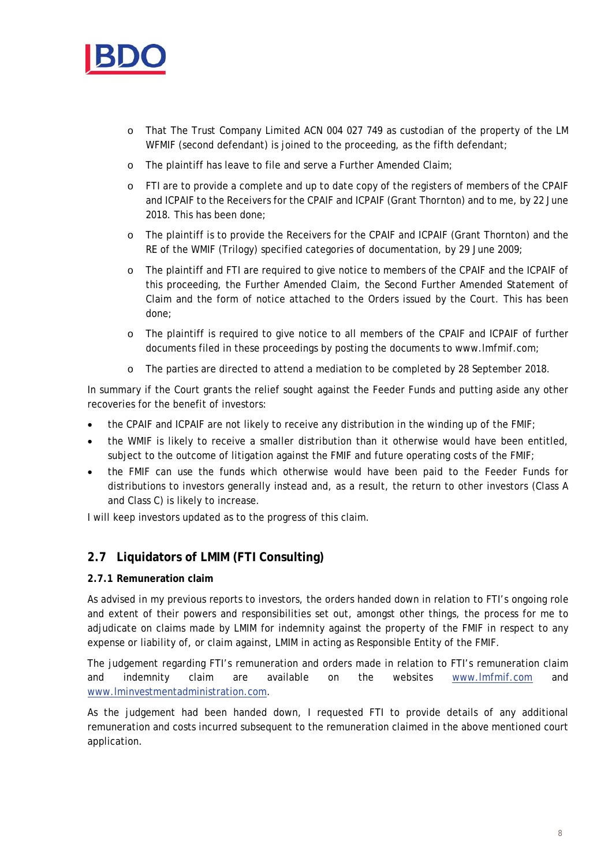

- o That The Trust Company Limited ACN 004 027 749 as custodian of the property of the LM WFMIF (second defendant) is joined to the proceeding, as the fifth defendant;
- o The plaintiff has leave to file and serve a Further Amended Claim;
- o FTI are to provide a complete and up to date copy of the registers of members of the CPAIF and ICPAIF to the Receivers for the CPAIF and ICPAIF (Grant Thornton) and to me, by 22 June 2018. This has been done;
- o The plaintiff is to provide the Receivers for the CPAIF and ICPAIF (Grant Thornton) and the RE of the WMIF (Trilogy) specified categories of documentation, by 29 June 2009;
- o The plaintiff and FTI are required to give notice to members of the CPAIF and the ICPAIF of this proceeding, the Further Amended Claim, the Second Further Amended Statement of Claim and the form of notice attached to the Orders issued by the Court. This has been done;
- o The plaintiff is required to give notice to all members of the CPAIF and ICPAIF of further documents filed in these proceedings by posting the documents to www.lmfmif.com;
- o The parties are directed to attend a mediation to be completed by 28 September 2018.

In summary if the Court grants the relief sought against the Feeder Funds and putting aside any other recoveries for the benefit of investors:

- the CPAIF and ICPAIF are not likely to receive any distribution in the winding up of the FMIF;
- the WMIF is likely to receive a smaller distribution than it otherwise would have been entitled, subject to the outcome of litigation against the FMIF and future operating costs of the FMIF;
- the FMIF can use the funds which otherwise would have been paid to the Feeder Funds for distributions to investors generally instead and, as a result, the return to other investors (Class A and Class C) is likely to increase.

I will keep investors updated as to the progress of this claim.

# **2.7 Liquidators of LMIM (FTI Consulting)**

#### **2.7.1 Remuneration claim**

As advised in my previous reports to investors, the orders handed down in relation to FTI's ongoing role and extent of their powers and responsibilities set out, amongst other things, the process for me to adjudicate on claims made by LMIM for indemnity against the property of the FMIF in respect to any expense or liability of, or claim against, LMIM in acting as Responsible Entity of the FMIF.

The judgement regarding FTI's remuneration and orders made in relation to FTI's remuneration claim and indemnity claim are available on the websites www.lmfmif.com and www.lminvestmentadministration.com.

As the judgement had been handed down, I requested FTI to provide details of any additional remuneration and costs incurred subsequent to the remuneration claimed in the above mentioned court application.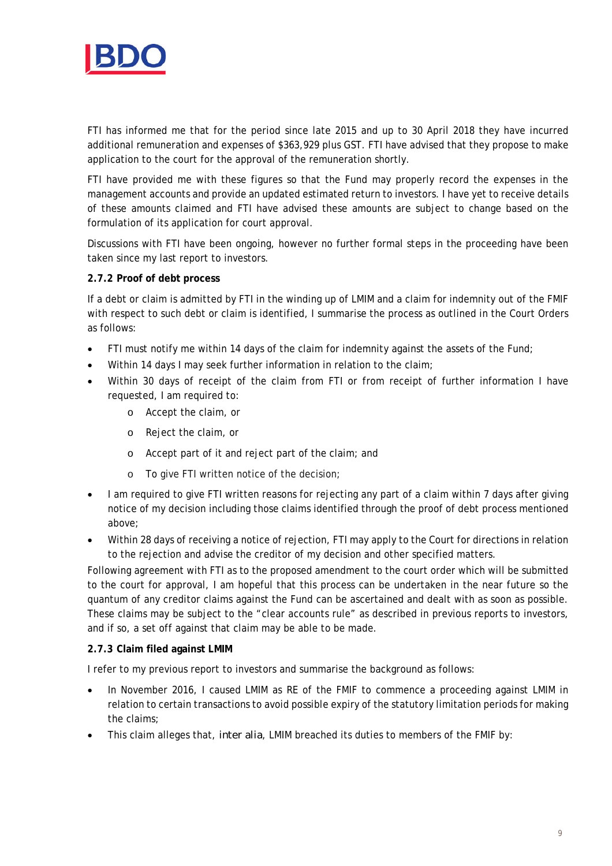

FTI has informed me that for the period since late 2015 and up to 30 April 2018 they have incurred additional remuneration and expenses of \$363,929 plus GST. FTI have advised that they propose to make application to the court for the approval of the remuneration shortly.

FTI have provided me with these figures so that the Fund may properly record the expenses in the management accounts and provide an updated estimated return to investors. I have yet to receive details of these amounts claimed and FTI have advised these amounts are subject to change based on the formulation of its application for court approval.

Discussions with FTI have been ongoing, however no further formal steps in the proceeding have been taken since my last report to investors.

#### **2.7.2 Proof of debt process**

If a debt or claim is admitted by FTI in the winding up of LMIM and a claim for indemnity out of the FMIF with respect to such debt or claim is identified, I summarise the process as outlined in the Court Orders as follows:

- FTI must notify me within 14 days of the claim for indemnity against the assets of the Fund;
- Within 14 days I may seek further information in relation to the claim;
- Within 30 days of receipt of the claim from FTI or from receipt of further information I have requested, I am required to:
	- o Accept the claim, or
	- o Reject the claim, or
	- o Accept part of it and reject part of the claim; and
	- o To give FTI written notice of the decision;
- I am required to give FTI written reasons for rejecting any part of a claim within 7 days after giving notice of my decision including those claims identified through the proof of debt process mentioned above;
- Within 28 days of receiving a notice of rejection, FTI may apply to the Court for directions in relation to the rejection and advise the creditor of my decision and other specified matters.

Following agreement with FTI as to the proposed amendment to the court order which will be submitted to the court for approval, I am hopeful that this process can be undertaken in the near future so the quantum of any creditor claims against the Fund can be ascertained and dealt with as soon as possible. These claims may be subject to the "clear accounts rule" as described in previous reports to investors, and if so, a set off against that claim may be able to be made.

#### **2.7.3 Claim filed against LMIM**

I refer to my previous report to investors and summarise the background as follows:

- In November 2016, I caused LMIM as RE of the FMIF to commence a proceeding against LMIM in relation to certain transactions to avoid possible expiry of the statutory limitation periods for making the claims;
- This claim alleges that, *inter alia*, LMIM breached its duties to members of the FMIF by: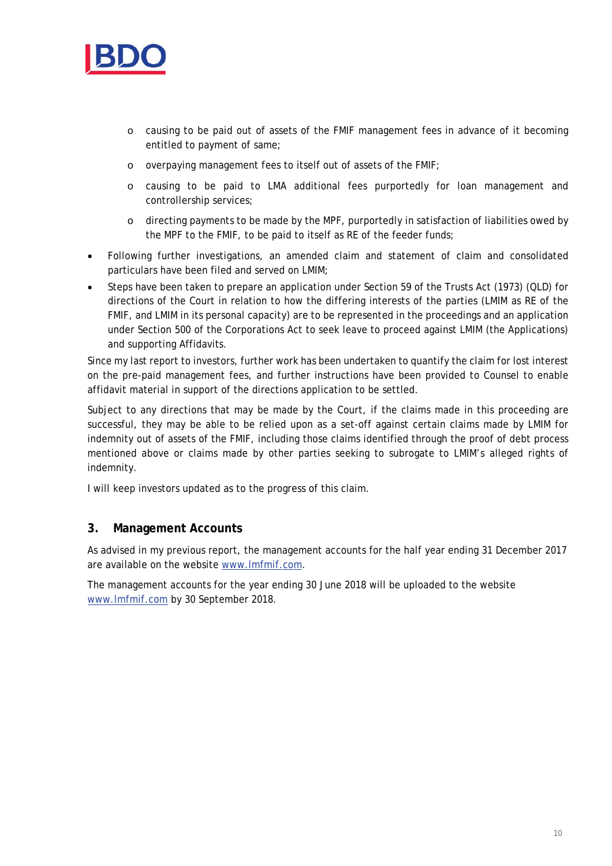

- o causing to be paid out of assets of the FMIF management fees in advance of it becoming entitled to payment of same;
- o overpaying management fees to itself out of assets of the FMIF;
- o causing to be paid to LMA additional fees purportedly for loan management and controllership services;
- o directing payments to be made by the MPF, purportedly in satisfaction of liabilities owed by the MPF to the FMIF, to be paid to itself as RE of the feeder funds;
- Following further investigations, an amended claim and statement of claim and consolidated particulars have been filed and served on LMIM;
- Steps have been taken to prepare an application under Section 59 of the Trusts Act (1973) (QLD) for directions of the Court in relation to how the differing interests of the parties (LMIM as RE of the FMIF, and LMIM in its personal capacity) are to be represented in the proceedings and an application under Section 500 of the Corporations Act to seek leave to proceed against LMIM (the Applications) and supporting Affidavits.

Since my last report to investors, further work has been undertaken to quantify the claim for lost interest on the pre-paid management fees, and further instructions have been provided to Counsel to enable affidavit material in support of the directions application to be settled.

Subject to any directions that may be made by the Court, if the claims made in this proceeding are successful, they may be able to be relied upon as a set-off against certain claims made by LMIM for indemnity out of assets of the FMIF, including those claims identified through the proof of debt process mentioned above or claims made by other parties seeking to subrogate to LMIM's alleged rights of indemnity.

I will keep investors updated as to the progress of this claim.

#### **3. Management Accounts**

As advised in my previous report, the management accounts for the half year ending 31 December 2017 are available on the website www.lmfmif.com.

The management accounts for the year ending 30 June 2018 will be uploaded to the website www.lmfmif.com by 30 September 2018.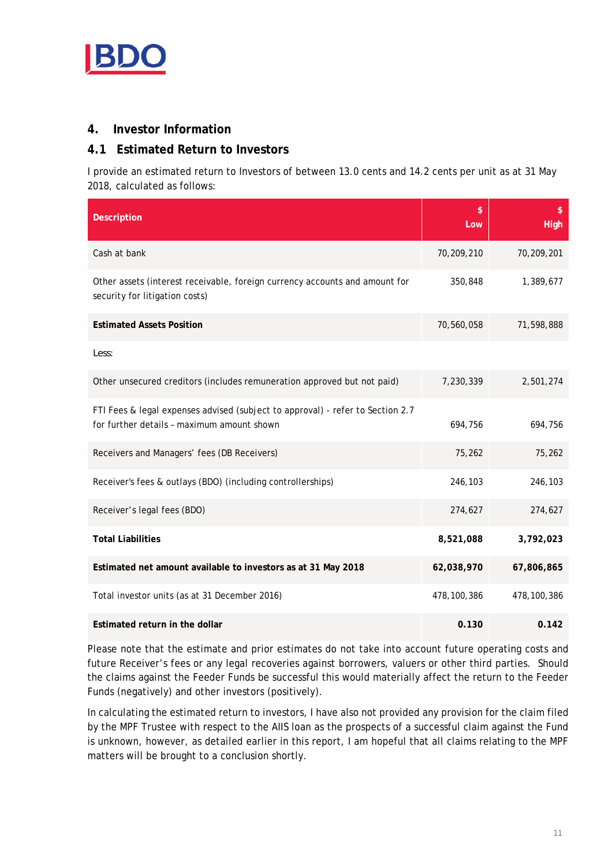

#### **4. Investor Information**

### **4.1 Estimated Return to Investors**

I provide an estimated return to Investors of between 13.0 cents and 14.2 cents per unit as at 31 May 2018, calculated as follows:

| <b>Description</b>                                                                                                           | \$<br>Low   | $\mathsf{\$}$<br><b>High</b> |
|------------------------------------------------------------------------------------------------------------------------------|-------------|------------------------------|
| Cash at bank                                                                                                                 | 70,209,210  | 70,209,201                   |
| Other assets (interest receivable, foreign currency accounts and amount for<br>security for litigation costs)                | 350,848     | 1,389,677                    |
| <b>Estimated Assets Position</b>                                                                                             | 70,560,058  | 71,598,888                   |
| Less:                                                                                                                        |             |                              |
| Other unsecured creditors (includes remuneration approved but not paid)                                                      | 7,230,339   | 2,501,274                    |
| FTI Fees & legal expenses advised (subject to approval) - refer to Section 2.7<br>for further details - maximum amount shown | 694,756     | 694,756                      |
| Receivers and Managers' fees (DB Receivers)                                                                                  | 75,262      | 75,262                       |
| Receiver's fees & outlays (BDO) (including controllerships)                                                                  | 246,103     | 246,103                      |
| Receiver's legal fees (BDO)                                                                                                  | 274,627     | 274,627                      |
| <b>Total Liabilities</b>                                                                                                     | 8,521,088   | 3,792,023                    |
| Estimated net amount available to investors as at 31 May 2018                                                                | 62,038,970  | 67,806,865                   |
| Total investor units (as at 31 December 2016)                                                                                | 478,100,386 | 478,100,386                  |
| Estimated return in the dollar                                                                                               | 0.130       | 0.142                        |

Please note that the estimate and prior estimates do not take into account future operating costs and future Receiver's fees or any legal recoveries against borrowers, valuers or other third parties. Should the claims against the Feeder Funds be successful this would materially affect the return to the Feeder Funds (negatively) and other investors (positively).

In calculating the estimated return to investors, I have also not provided any provision for the claim filed by the MPF Trustee with respect to the AIIS loan as the prospects of a successful claim against the Fund is unknown, however, as detailed earlier in this report, I am hopeful that all claims relating to the MPF matters will be brought to a conclusion shortly.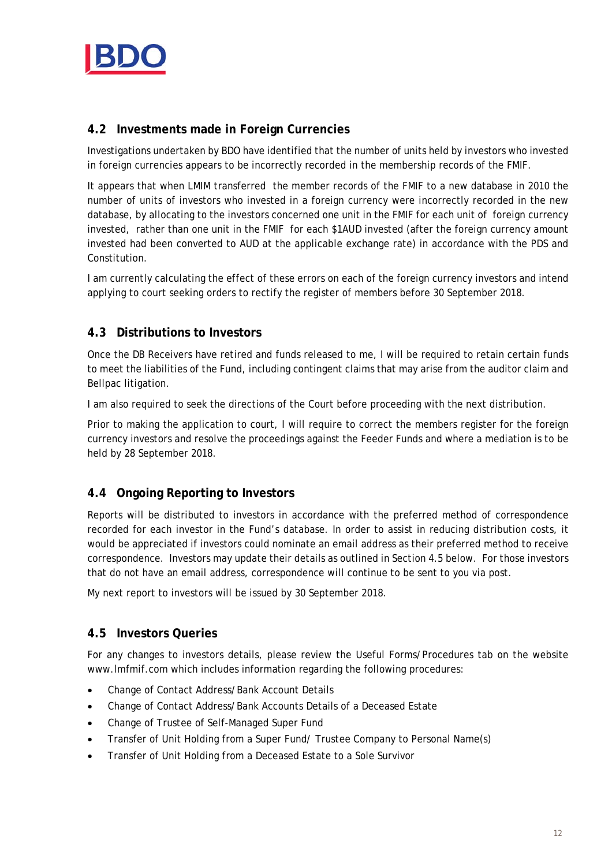

## **4.2 Investments made in Foreign Currencies**

Investigations undertaken by BDO have identified that the number of units held by investors who invested in foreign currencies appears to be incorrectly recorded in the membership records of the FMIF.

It appears that when LMIM transferred the member records of the FMIF to a new database in 2010 the number of units of investors who invested in a foreign currency were incorrectly recorded in the new database, by allocating to the investors concerned one unit in the FMIF for each unit of foreign currency invested, rather than one unit in the FMIF for each \$1AUD invested (after the foreign currency amount invested had been converted to AUD at the applicable exchange rate) in accordance with the PDS and Constitution.

I am currently calculating the effect of these errors on each of the foreign currency investors and intend applying to court seeking orders to rectify the register of members before 30 September 2018.

### **4.3 Distributions to Investors**

Once the DB Receivers have retired and funds released to me, I will be required to retain certain funds to meet the liabilities of the Fund, including contingent claims that may arise from the auditor claim and Bellpac litigation.

I am also required to seek the directions of the Court before proceeding with the next distribution.

Prior to making the application to court, I will require to correct the members register for the foreign currency investors and resolve the proceedings against the Feeder Funds and where a mediation is to be held by 28 September 2018.

#### **4.4 Ongoing Reporting to Investors**

Reports will be distributed to investors in accordance with the preferred method of correspondence recorded for each investor in the Fund's database. In order to assist in reducing distribution costs, it would be appreciated if investors could nominate an email address as their preferred method to receive correspondence. Investors may update their details as outlined in Section 4.5 below. For those investors that do not have an email address, correspondence will continue to be sent to you via post.

My next report to investors will be issued by 30 September 2018.

#### **4.5 Investors Queries**

For any changes to investors details, please review the Useful Forms/Procedures tab on the website www.lmfmif.com which includes information regarding the following procedures:

- Change of Contact Address/Bank Account Details
- Change of Contact Address/Bank Accounts Details of a Deceased Estate
- Change of Trustee of Self-Managed Super Fund
- Transfer of Unit Holding from a Super Fund/ Trustee Company to Personal Name(s)
- Transfer of Unit Holding from a Deceased Estate to a Sole Survivor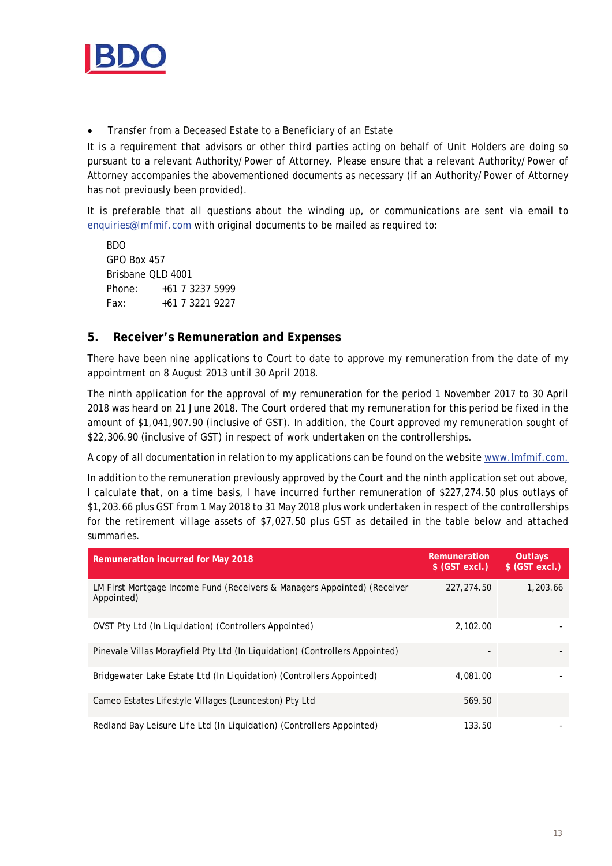

Transfer from a Deceased Estate to a Beneficiary of an Estate

It is a requirement that advisors or other third parties acting on behalf of Unit Holders are doing so pursuant to a relevant Authority/Power of Attorney. Please ensure that a relevant Authority/Power of Attorney accompanies the abovementioned documents as necessary (if an Authority/Power of Attorney has not previously been provided).

It is preferable that all questions about the winding up, or communications are sent via email to enquiries@lmfmif.com with original documents to be mailed as required to:

BDO GPO Box 457 Brisbane QLD 4001 Phone: +61 7 3237 5999 Fax: +61 7 3221 9227

#### **5. Receiver's Remuneration and Expenses**

There have been nine applications to Court to date to approve my remuneration from the date of my appointment on 8 August 2013 until 30 April 2018.

The ninth application for the approval of my remuneration for the period 1 November 2017 to 30 April 2018 was heard on 21 June 2018. The Court ordered that my remuneration for this period be fixed in the amount of \$1,041,907.90 (inclusive of GST). In addition, the Court approved my remuneration sought of \$22,306.90 (inclusive of GST) in respect of work undertaken on the controllerships.

A copy of all documentation in relation to my applications can be found on the website www.lmfmif.com.

In addition to the remuneration previously approved by the Court and the ninth application set out above, I calculate that, on a time basis, I have incurred further remuneration of \$227,274.50 plus outlays of \$1,203.66 plus GST from 1 May 2018 to 31 May 2018 plus work undertaken in respect of the controllerships for the retirement village assets of \$7,027.50 plus GST as detailed in the table below and attached summaries.

| <b>Remuneration incurred for May 2018</b>                                              | Remuneration<br>\$ (GST excl.) | <b>Outlays</b><br>$$$ (GST excl.) |
|----------------------------------------------------------------------------------------|--------------------------------|-----------------------------------|
| LM First Mortgage Income Fund (Receivers & Managers Appointed) (Receiver<br>Appointed) | 227, 274.50                    | 1,203.66                          |
| OVST Pty Ltd (In Liquidation) (Controllers Appointed)                                  | 2,102.00                       |                                   |
| Pinevale Villas Morayfield Pty Ltd (In Liquidation) (Controllers Appointed)            |                                |                                   |
| Bridgewater Lake Estate Ltd (In Liquidation) (Controllers Appointed)                   | 4,081.00                       |                                   |
| Cameo Estates Lifestyle Villages (Launceston) Pty Ltd                                  | 569.50                         |                                   |
| Redland Bay Leisure Life Ltd (In Liquidation) (Controllers Appointed)                  | 133.50                         |                                   |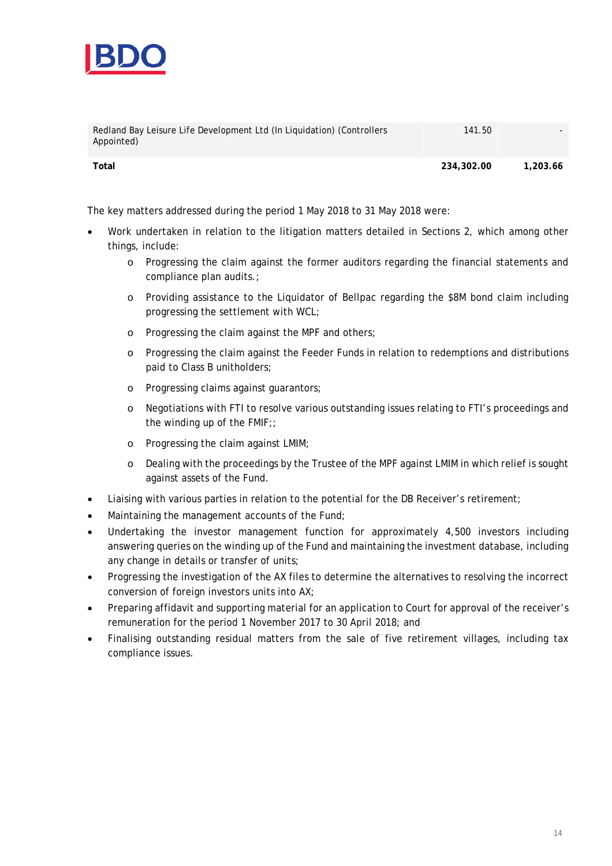

| Redland Bay Leisure Life Development Ltd (In Liquidation) (Controllers<br>Appointed) | 141.50     |          |
|--------------------------------------------------------------------------------------|------------|----------|
| Total                                                                                | 234,302.00 | 1,203.66 |

The key matters addressed during the period 1 May 2018 to 31 May 2018 were:

- Work undertaken in relation to the litigation matters detailed in Sections 2, which among other things, include:
	- o Progressing the claim against the former auditors regarding the financial statements and compliance plan audits.;
	- o Providing assistance to the Liquidator of Bellpac regarding the \$8M bond claim including progressing the settlement with WCL;
	- o Progressing the claim against the MPF and others;
	- o Progressing the claim against the Feeder Funds in relation to redemptions and distributions paid to Class B unitholders;
	- o Progressing claims against guarantors;
	- o Negotiations with FTI to resolve various outstanding issues relating to FTI's proceedings and the winding up of the FMIF;;
	- o Progressing the claim against LMIM;
	- o Dealing with the proceedings by the Trustee of the MPF against LMIM in which relief is sought against assets of the Fund.
- Liaising with various parties in relation to the potential for the DB Receiver's retirement;
- Maintaining the management accounts of the Fund;
- Undertaking the investor management function for approximately 4,500 investors including answering queries on the winding up of the Fund and maintaining the investment database, including any change in details or transfer of units;
- Progressing the investigation of the AX files to determine the alternatives to resolving the incorrect conversion of foreign investors units into AX;
- Preparing affidavit and supporting material for an application to Court for approval of the receiver's remuneration for the period 1 November 2017 to 30 April 2018; and
- Finalising outstanding residual matters from the sale of five retirement villages, including tax compliance issues.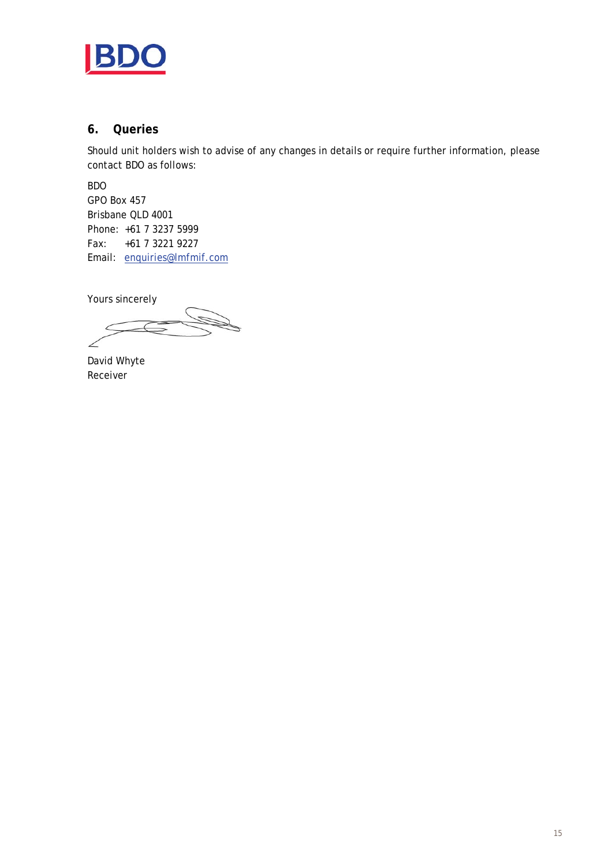

#### **6. Queries**

Should unit holders wish to advise of any changes in details or require further information, please contact BDO as follows:

BDO GPO Box 457 Brisbane QLD 4001 Phone: +61 7 3237 5999 Fax: +61 7 3221 9227 Email: enquiries@lmfmif.com

Yours sincerely

David Whyte Receiver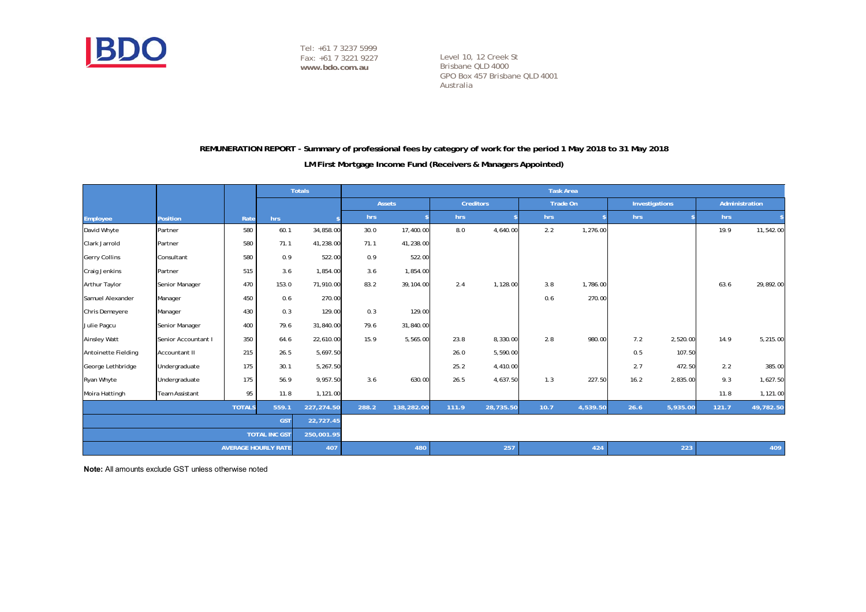

Level 10, 12 Creek St Brisbane QLD 4000 GPO Box 457 Brisbane QLD 4001 Australia

#### **REMUNERATION REPORT - Summary of professional fees by category of work for the period 1 May 2018 to 31 May 2018**

#### **LM First Mortgage Income Fund (Receivers & Managers Appointed)**

|                         |                       |               |                            | <b>Totals</b> | <b>Task Area</b> |               |       |                  |      |          |      |                |       |                |
|-------------------------|-----------------------|---------------|----------------------------|---------------|------------------|---------------|-------|------------------|------|----------|------|----------------|-------|----------------|
|                         |                       |               |                            |               |                  | <b>Assets</b> |       | <b>Creditors</b> |      | Trade On |      | Investigations |       | Administration |
| Employee                | <b>Position</b>       | Rate          | hrs                        |               | hrs              |               | hrs   |                  | hrs  |          | hrs  |                | hrs   |                |
| David Whyte             | Partner               | 580           | 60.1                       | 34,858.00     | 30.0             | 17,400.00     | 8.0   | 4,640.00         | 2.2  | 1,276.00 |      |                | 19.9  | 11,542.00      |
| Clark Jarrold           | Partner               | 580           | 71.1                       | 41,238.00     | 71.1             | 41,238.00     |       |                  |      |          |      |                |       |                |
| <b>Gerry Collins</b>    | Consultant            | 580           | 0.9                        | 522.00        | 0.9              | 522.00        |       |                  |      |          |      |                |       |                |
| <b>Craig Jenkins</b>    | Partner               | 515           | 3.6                        | 1,854.00      | 3.6              | 1,854.00      |       |                  |      |          |      |                |       |                |
| Arthur Taylor           | Senior Manager        | 470           | 153.0                      | 71,910.00     | 83.2             | 39,104.00     | 2.4   | 1,128.00         | 3.8  | 1,786.00 |      |                | 63.6  | 29,892.00      |
| Samuel Alexander        | Manager               | 450           | 0.6                        | 270.00        |                  |               |       |                  | 0.6  | 270.00   |      |                |       |                |
| Chris Demeyere          | Manager               | 430           | 0.3                        | 129.00        | 0.3              | 129.00        |       |                  |      |          |      |                |       |                |
| Julie Pagcu             | Senior Manager        | 400           | 79.6                       | 31,840.00     | 79.6             | 31,840.00     |       |                  |      |          |      |                |       |                |
| <b>Ainsley Watt</b>     | Senior Accountant I   | 350           | 64.6                       | 22,610.00     | 15.9             | 5,565.00      | 23.8  | 8,330.00         | 2.8  | 980.00   | 7.2  | 2,520.00       | 14.9  | 5,215.00       |
| Antoinette Fielding     | Accountant II         | 215           | 26.5                       | 5,697.50      |                  |               | 26.0  | 5,590.00         |      |          | 0.5  | 107.50         |       |                |
| George Lethbridge       | Undergraduate         | 175           | 30.1                       | 5,267.50      |                  |               | 25.2  | 4,410.00         |      |          | 2.7  | 472.50         | 2.2   | 385.00         |
| Ryan Whyte              | Undergraduate         | 175           | 56.9                       | 9,957.50      | 3.6              | 630.00        | 26.5  | 4,637.50         | 1.3  | 227.50   | 16.2 | 2,835.00       | 9.3   | 1,627.50       |
| Moira Hattingh          | <b>Team Assistant</b> | 95            | 11.8                       | 1,121.00      |                  |               |       |                  |      |          |      |                | 11.8  | 1,121.00       |
|                         |                       | <b>TOTALS</b> | 559.1                      | 227,274.50    | 288.2            | 138,282.00    | 111.9 | 28,735.50        | 10.7 | 4,539.50 | 26.6 | 5,935.00       | 121.7 | 49,782.50      |
| <b>GST</b><br>22,727.45 |                       |               |                            |               |                  |               |       |                  |      |          |      |                |       |                |
|                         |                       |               | <b>TOTAL INC GST</b>       | 250,001.95    |                  |               |       |                  |      |          |      |                |       |                |
|                         |                       |               | <b>AVERAGE HOURLY RATE</b> | 407           |                  | 480           |       | 257              |      | 424      |      | 223            |       | 409            |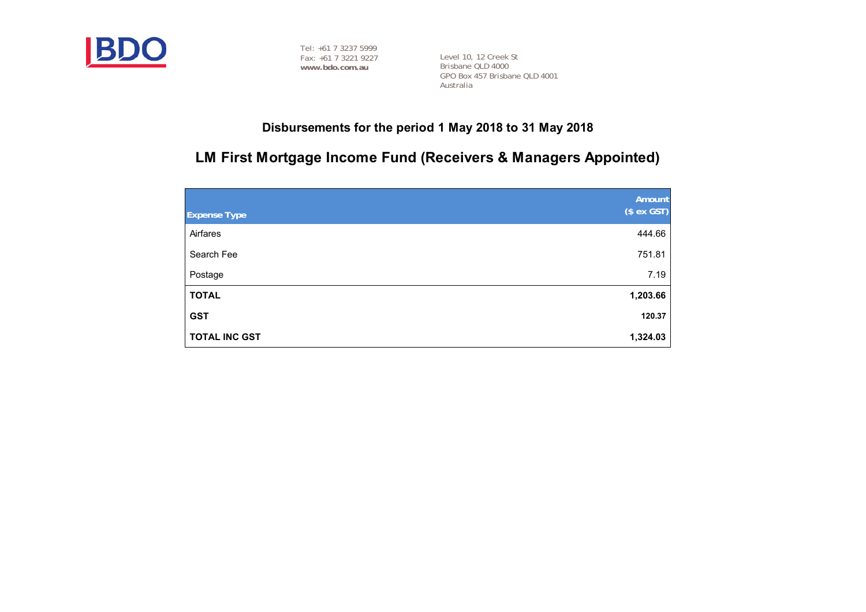

Level 10, 12 Creek St Brisbane QLD 4000 GPO Box 457 Brisbane QLD 4001 Australia

# **Disbursements for the period 1 May 2018 to 31 May 2018**

# **LM First Mortgage Income Fund (Receivers & Managers Appointed)**

| <b>Expense Type</b>  | Amount<br>$($ex$ GST) |
|----------------------|-----------------------|
| Airfares             | 444.66                |
| Search Fee           | 751.81                |
| Postage              | 7.19                  |
| <b>TOTAL</b>         | 1,203.66              |
| <b>GST</b>           | 120.37                |
| <b>TOTAL INC GST</b> | 1,324.03              |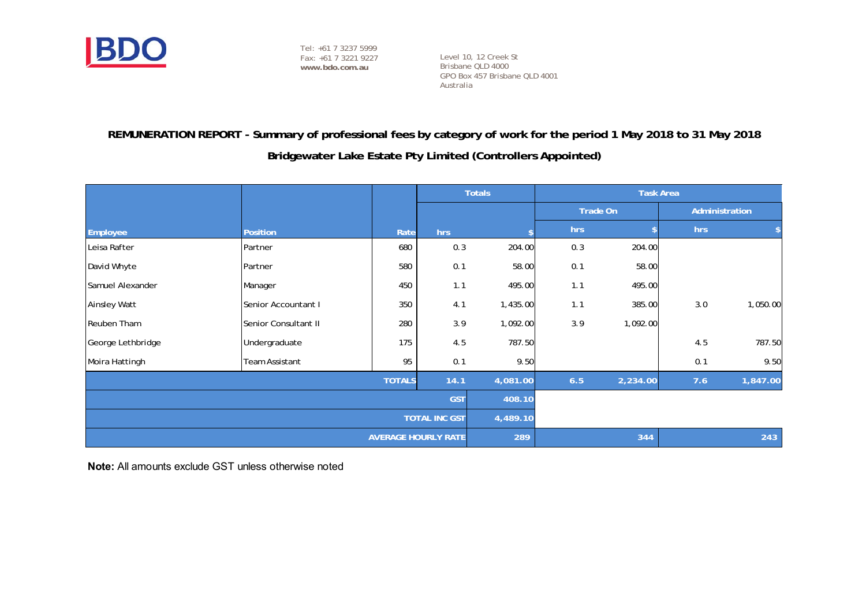

Level 10, 12 Creek St Brisbane QLD 4000 GPO Box 457 Brisbane QLD 4001 Australia

# **REMUNERATION REPORT - Summary of professional fees by category of work for the period 1 May 2018 to 31 May 2018**

**Bridgewater Lake Estate Pty Limited (Controllers Appointed)**

|                      |                       |      |                            | <b>Totals</b> |                 |          | <b>Task Area</b> |          |  |
|----------------------|-----------------------|------|----------------------------|---------------|-----------------|----------|------------------|----------|--|
|                      |                       |      |                            |               | <b>Trade On</b> |          | Administration   |          |  |
| Employee             | <b>Position</b>       | Rate | hrs                        |               | hrs             |          | hrs              |          |  |
| Leisa Rafter         | Partner               | 680  | 0.3                        | 204.00        | 0.3             | 204.00   |                  |          |  |
| David Whyte          | Partner               | 580  | 0.1                        | 58.00         | 0.1             | 58.00    |                  |          |  |
| Samuel Alexander     | Manager               | 450  | 1.1                        | 495.00        | 1.1             | 495.00   |                  |          |  |
| Ainsley Watt         | Senior Accountant I   | 350  | 4.1                        | 1,435.00      | 1.1             | 385.00   | 3.0              | 1,050.00 |  |
| Reuben Tham          | Senior Consultant II  | 280  | 3.9                        | 1,092.00      | 3.9             | 1,092.00 |                  |          |  |
| George Lethbridge    | Undergraduate         | 175  | 4.5                        | 787.50        |                 |          | 4.5              | 787.50   |  |
| Moira Hattingh       | Team Assistant        | 95   | 0.1                        | 9.50          |                 |          | 0.1              | 9.50     |  |
|                      | <b>TOTALS</b><br>14.1 |      |                            |               | 6.5<br>4,081.00 | 2,234.00 | 7.6              | 1,847.00 |  |
| <b>GST</b>           |                       |      |                            |               | 408.10          |          |                  |          |  |
| <b>TOTAL INC GST</b> |                       |      |                            | 4,489.10      |                 |          |                  |          |  |
|                      |                       |      | <b>AVERAGE HOURLY RATE</b> | 289           |                 | 344      |                  | 243      |  |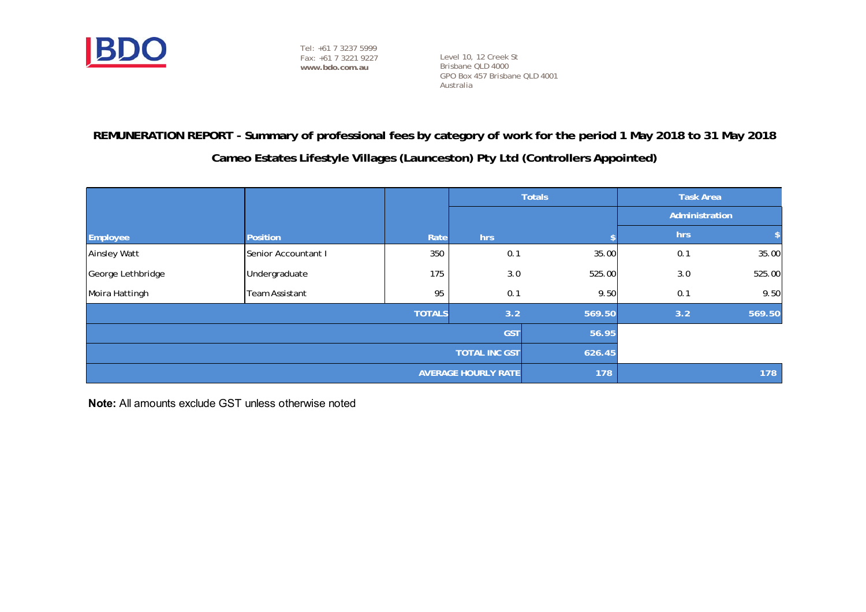

Level 10, 12 Creek St Brisbane QLD 4000 GPO Box 457 Brisbane QLD 4001 Australia

# **REMUNERATION REPORT - Summary of professional fees by category of work for the period 1 May 2018 to 31 May 2018**

# **Cameo Estates Lifestyle Villages (Launceston) Pty Ltd (Controllers Appointed)**

|                     |                                |               | <b>Totals</b>              |        | <b>Task Area</b> |                |  |
|---------------------|--------------------------------|---------------|----------------------------|--------|------------------|----------------|--|
|                     |                                |               |                            |        |                  | Administration |  |
| Employee            | <b>Position</b>                | Rate          | hrs                        |        | hrs              |                |  |
| <b>Ainsley Watt</b> | Senior Accountant I            | 350           | 0.1                        | 35.00  | 0.1              | 35.00          |  |
| George Lethbridge   | Undergraduate                  | 175           | 3.0                        | 525.00 | 3.0              | 525.00         |  |
| Moira Hattingh      | Team Assistant                 | 95            | 0.1                        | 9.50   | 0.1              | 9.50           |  |
|                     |                                | <b>TOTALS</b> | 3.2                        | 569.50 | 3.2              | 569.50         |  |
|                     | <b>GST</b><br>56.95            |               |                            |        |                  |                |  |
|                     | <b>TOTAL INC GST</b><br>626.45 |               |                            |        |                  |                |  |
|                     |                                |               | <b>AVERAGE HOURLY RATE</b> | 178    |                  | 178            |  |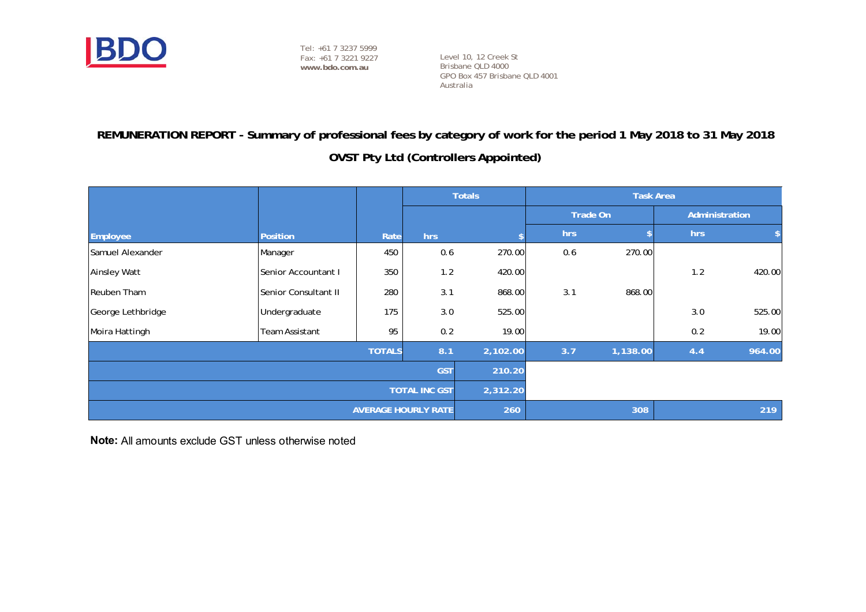

Level 10, 12 Creek St Brisbane QLD 4000 GPO Box 457 Brisbane QLD 4001 Australia

# **REMUNERATION REPORT - Summary of professional fees by category of work for the period 1 May 2018 to 31 May 2018**

**OVST Pty Ltd (Controllers Appointed)**

|                      |                      |               |                            | <b>Totals</b> |     |                 | <b>Task Area</b> |                |
|----------------------|----------------------|---------------|----------------------------|---------------|-----|-----------------|------------------|----------------|
|                      |                      |               |                            |               |     | <b>Trade On</b> |                  | Administration |
| Employee             | <b>Position</b>      | Rate          | hrs                        |               | hrs |                 | hrs              |                |
| Samuel Alexander     | Manager              | 450           | 0.6                        | 270.00        | 0.6 | 270.00          |                  |                |
| <b>Ainsley Watt</b>  | Senior Accountant I  | 350           | 1.2                        | 420.00        |     |                 | 1.2              | 420.00         |
| Reuben Tham          | Senior Consultant II | 280           | 3.1                        | 868.00        | 3.1 | 868.00          |                  |                |
| George Lethbridge    | Undergraduate        | 175           | 3.0                        | 525.00        |     |                 | 3.0              | 525.00         |
| Moira Hattingh       | Team Assistant       | 95            | 0.2                        | 19.00         |     |                 | 0.2              | 19.00          |
|                      |                      | <b>TOTALS</b> | 8.1                        | 2,102.00      | 3.7 | 1,138.00        | 4.4              | 964.00         |
| <b>GST</b>           |                      |               |                            | 210.20        |     |                 |                  |                |
| <b>TOTAL INC GST</b> |                      |               |                            | 2,312.20      |     |                 |                  |                |
|                      |                      |               | <b>AVERAGE HOURLY RATE</b> | 260           |     | 308             |                  | 219            |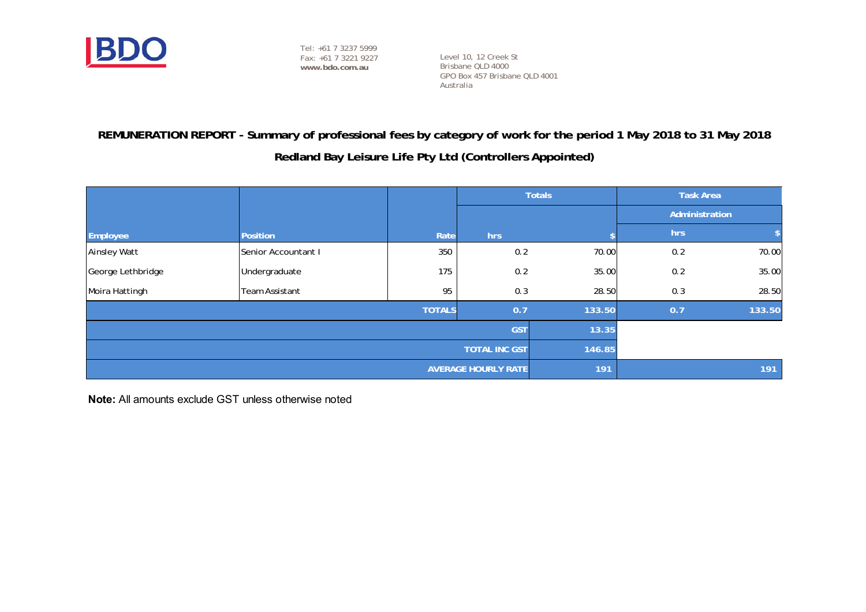

Level 10, 12 Creek St Brisbane QLD 4000 GPO Box 457 Brisbane QLD 4001 Australia

# **REMUNERATION REPORT - Summary of professional fees by category of work for the period 1 May 2018 to 31 May 2018**

# **Redland Bay Leisure Life Pty Ltd (Controllers Appointed)**

|                     |                                   |               | <b>Totals</b> |        | <b>Task Area</b> |                |  |
|---------------------|-----------------------------------|---------------|---------------|--------|------------------|----------------|--|
|                     |                                   |               |               |        |                  | Administration |  |
| Employee            | <b>Position</b>                   | Rate          | hrs           |        | hrs              |                |  |
| <b>Ainsley Watt</b> | Senior Accountant I               | 350           | 0.2           | 70.00  | 0.2              | 70.00          |  |
| George Lethbridge   | Undergraduate                     | 175           | 0.2           | 35.00  | 0.2              | 35.00          |  |
| Moira Hattingh      | <b>Team Assistant</b>             | 95            | 0.3           | 28.50  | 0.3              | 28.50          |  |
|                     |                                   | <b>TOTALS</b> | 0.7           | 133.50 | 0.7              | 133.50         |  |
|                     | 13.35                             |               |               |        |                  |                |  |
|                     | <b>TOTAL INC GST</b><br>146.85    |               |               |        |                  |                |  |
|                     | <b>AVERAGE HOURLY RATE</b><br>191 |               | 191           |        |                  |                |  |